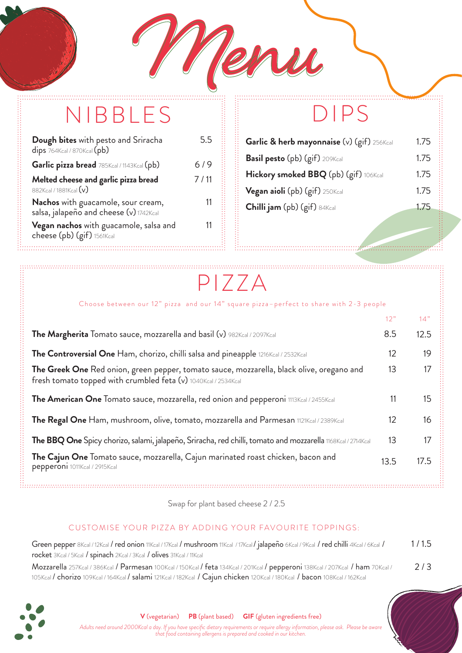# **Menu Menu** NIBBLES DIPS

| Dough bites with pesto and Sriracha<br>$dips$ 764Kcal / 870Kcal $(pb)$        | 5.5  |
|-------------------------------------------------------------------------------|------|
| Garlic pizza bread 785Kcal / 1143Kcal (pb)                                    | 6/9  |
| Melted cheese and garlic pizza bread<br>882Kcal / 1881Kcal (v)                | 7/11 |
| Nachos with guacamole, sour cream,<br>salsa, jalapeño and cheese (v) 1742Kcal | 11   |
| Vegan nachos with guacamole, salsa and<br>cheese (pb) (gif) 1561Kcal          |      |

| Garlic & herb mayonnaise (v) (gif) 256Kcal | 1.75 |
|--------------------------------------------|------|
| <b>Basil pesto</b> (pb) (gif) 209Kcal      | 1.75 |
| Hickory smoked BBQ (pb) (gif) 106Kcal      | 1.75 |
| Vegan aioli (pb) (gif) 250Kcal             | 1.75 |
| <b>Chilli jam</b> (pb) (gif) 84Kcal        | 1.75 |
|                                            |      |

..................

### PIZZA

. . . . . . . . . . . . . .

### Choose between our 12" pizza and our 14" square pizza–perfect to share with 2-3 people

|                                                                                                                                                             | 12"  | 14"  |
|-------------------------------------------------------------------------------------------------------------------------------------------------------------|------|------|
| The Margherita Tomato sauce, mozzarella and basil (v) 982Kcal / 2097Kcal                                                                                    | 8.5  | 12.5 |
| The Controversial One Ham, chorizo, chilli salsa and pineapple 1216Kcal / 2532Kcal                                                                          | 12   | 19   |
| The Greek One Red onion, green pepper, tomato sauce, mozzarella, black olive, oregano and<br>fresh tomato topped with crumbled feta (v) 1040Kcal / 2534Kcal | 13   | 17   |
| The American One Tomato sauce, mozzarella, red onion and pepperoni 1113Kcal / 2455Kcal                                                                      | 11   | 15   |
| The Regal One Ham, mushroom, olive, tomato, mozzarella and Parmesan 1121Kcal / 2389Kcal                                                                     | 12   | 16   |
| The BBQ One Spicy chorizo, salami, jalapeño, Sriracha, red chilli, tomato and mozzarella 1168Kcal / 2714Kcal                                                | 13   | 17   |
| The Cajun One Tomato sauce, mozzarella, Cajun marinated roast chicken, bacon and<br>pepperoni 1011Kcal / 2915Kcal                                           | 13.5 | 17.5 |

Swap for plant based cheese 2 / 2.5

### CUSTOMISE YOUR PIZZA BY ADDING YOUR FAVOURITE TOPPINGS:

| Green pepper 8Kcal/12Kcal / red onion 11Kcal/17Kcal / mushroom 11Kcal/17Kcal/jalapeño 6Kcal/9Kcal/red chilli 4Kcal/6Kcal/       | 1/1.5 |
|---------------------------------------------------------------------------------------------------------------------------------|-------|
| rocket 3Kcal / 5Kcal / spinach 2Kcal / 3Kcal / olives 31Kcal / 11Kcal                                                           |       |
| Mozzarella 257Kcal / 386Kcal / Parmesan 100Kcal / 150Kcal / feta 134Kcal / 201Kcal / pepperoni 138Kcal / 207Kcal / ham 70Kcal / | 2/3   |
| 105Kcal / chorizo 109Kcal / 164Kcal / salami 121Kcal / 182Kcal / Cajun chicken 120Kcal / 180Kcal / bacon 108Kcal / 162Kcal      |       |



**V** (vegetarian) **PB** (plant based) **GIF** (gluten ingredients free)

*Adults need around 2000Kcal a day. If you have specific dietary requirements or require allergy information, please ask. Please be aware that food containing allergens is prepared and cooked in our kitchen.*